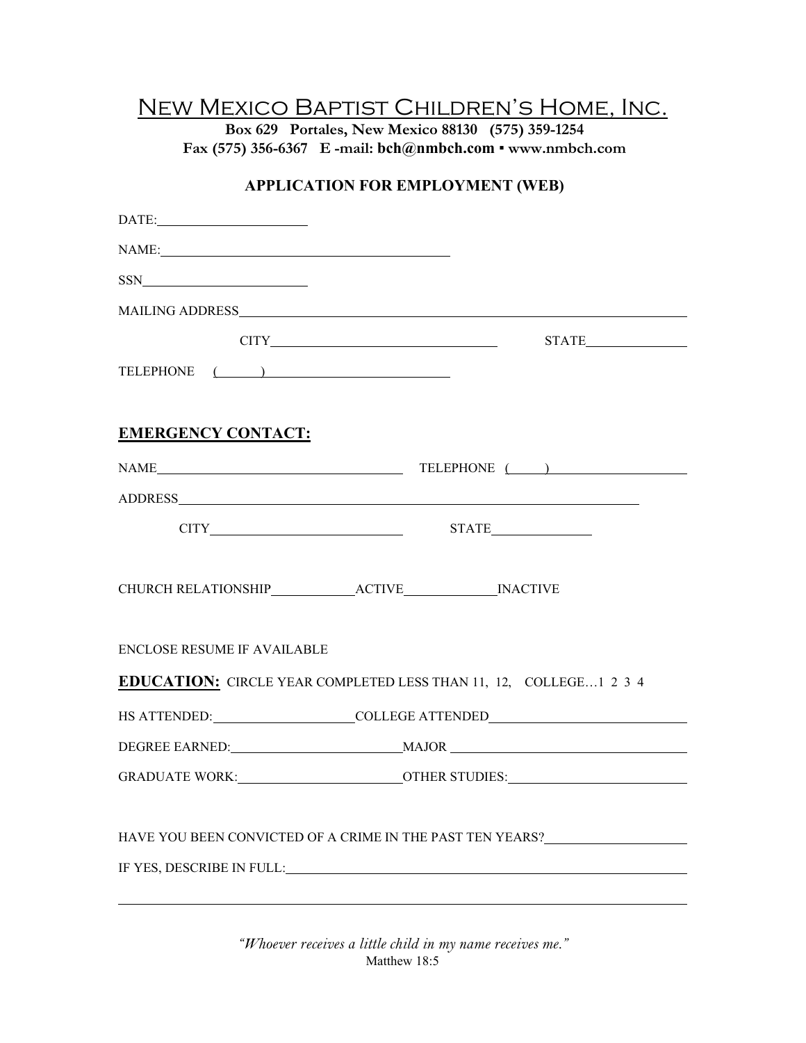## New Mexico Baptist Children's Home, Inc.

**Box 629 Portales, New Mexico 88130 (575) 359-1254 Fax (575) 356-6367 E -mail: bch@nmbch.com** ▪ **www.nmbch.com** 

## **APPLICATION FOR EMPLOYMENT (WEB)**

| $\textbf{DATE:}\underbrace{\qquad \qquad }% \qquad \qquad \qquad \underbrace{\qquad \qquad }% \qquad \qquad \qquad \textbf{DATE:}\qquad \qquad \textbf{DATE:}\qquad \qquad \textbf{DATE:}\qquad \qquad \textbf{DATE:}\qquad \qquad \textbf{DATE:}\qquad \qquad \textbf{DATE:}\qquad \qquad \textbf{DATE:}\qquad \qquad \textbf{DATE:}\qquad \qquad \textbf{DATE:}\qquad \qquad \textbf{DATE:}\qquad \qquad \textbf{DATE:}\qquad \qquad \textbf{DATE:}\qquad \qquad \textbf{DATE:}\qquad \qquad \textbf{$ |                                                                                                                                                                                                                                                                                                                                                                                                                                                                                                                                                                                                                                                                                                                                             |  |
|----------------------------------------------------------------------------------------------------------------------------------------------------------------------------------------------------------------------------------------------------------------------------------------------------------------------------------------------------------------------------------------------------------------------------------------------------------------------------------------------------------|---------------------------------------------------------------------------------------------------------------------------------------------------------------------------------------------------------------------------------------------------------------------------------------------------------------------------------------------------------------------------------------------------------------------------------------------------------------------------------------------------------------------------------------------------------------------------------------------------------------------------------------------------------------------------------------------------------------------------------------------|--|
| NAME: NAME                                                                                                                                                                                                                                                                                                                                                                                                                                                                                               |                                                                                                                                                                                                                                                                                                                                                                                                                                                                                                                                                                                                                                                                                                                                             |  |
| $SSN$                                                                                                                                                                                                                                                                                                                                                                                                                                                                                                    |                                                                                                                                                                                                                                                                                                                                                                                                                                                                                                                                                                                                                                                                                                                                             |  |
|                                                                                                                                                                                                                                                                                                                                                                                                                                                                                                          |                                                                                                                                                                                                                                                                                                                                                                                                                                                                                                                                                                                                                                                                                                                                             |  |
|                                                                                                                                                                                                                                                                                                                                                                                                                                                                                                          | $\begin{minipage}{.4\linewidth} \begin{tabular}{l} \multicolumn{2}{c} {\textbf{STATE}} \end{tabular} \end{minipage} \vspace{0.0000in} \begin{minipage}{.4\linewidth} \begin{tabular}{l} \multicolumn{2}{c} {\textbf{STATE}} \end{tabular} \end{minipage} \vspace{0.0000in} \begin{minipage}{.4\linewidth} \end{minipage} \vspace{0.0000in} \begin{minipage}{.4\linewidth} \begin{tabular}{l} \multicolumn{2}{c} {\textbf{STATE}} \end{tabular} \end{minipage} \vspace{0.0000in} \begin{minipage}{.4$<br>$CITY$ and $CITY$ and $CITY$ and $CYZ$ are $CZ$ and $CZ$ are $CZ$ and $CZ$ are $CZ$ and $CZ$ are $CZ$ and $CZ$ are $CZ$ and $CZ$ are $CZ$ and $CZ$ are $CZ$ and $CZ$ are $CZ$ and $CZ$ are $CZ$ and $CZ$ are $CZ$ and $CZ$ are $CZ$ |  |
| TELEPHONE ( )                                                                                                                                                                                                                                                                                                                                                                                                                                                                                            |                                                                                                                                                                                                                                                                                                                                                                                                                                                                                                                                                                                                                                                                                                                                             |  |
| <b>EMERGENCY CONTACT:</b>                                                                                                                                                                                                                                                                                                                                                                                                                                                                                |                                                                                                                                                                                                                                                                                                                                                                                                                                                                                                                                                                                                                                                                                                                                             |  |
|                                                                                                                                                                                                                                                                                                                                                                                                                                                                                                          | $\begin{tabular}{c} \bf{NAME} \end{tabular}$ $\begin{tabular}{c} \bf{NAME} \end{tabular}$ $\begin{tabular}{c} \bf{TABLEPHONE} \end{tabular}$                                                                                                                                                                                                                                                                                                                                                                                                                                                                                                                                                                                                |  |
|                                                                                                                                                                                                                                                                                                                                                                                                                                                                                                          |                                                                                                                                                                                                                                                                                                                                                                                                                                                                                                                                                                                                                                                                                                                                             |  |
|                                                                                                                                                                                                                                                                                                                                                                                                                                                                                                          |                                                                                                                                                                                                                                                                                                                                                                                                                                                                                                                                                                                                                                                                                                                                             |  |
| CHURCH RELATIONSHIP ACTIVE INACTIVE                                                                                                                                                                                                                                                                                                                                                                                                                                                                      |                                                                                                                                                                                                                                                                                                                                                                                                                                                                                                                                                                                                                                                                                                                                             |  |
| <b>ENCLOSE RESUME IF AVAILABLE</b>                                                                                                                                                                                                                                                                                                                                                                                                                                                                       |                                                                                                                                                                                                                                                                                                                                                                                                                                                                                                                                                                                                                                                                                                                                             |  |
|                                                                                                                                                                                                                                                                                                                                                                                                                                                                                                          | <b>EDUCATION:</b> CIRCLE YEAR COMPLETED LESS THAN 11, 12, COLLEGE1 2 3 4                                                                                                                                                                                                                                                                                                                                                                                                                                                                                                                                                                                                                                                                    |  |
|                                                                                                                                                                                                                                                                                                                                                                                                                                                                                                          | HS ATTENDED:_____________________COLLEGE ATTENDED_______________________________                                                                                                                                                                                                                                                                                                                                                                                                                                                                                                                                                                                                                                                            |  |
|                                                                                                                                                                                                                                                                                                                                                                                                                                                                                                          |                                                                                                                                                                                                                                                                                                                                                                                                                                                                                                                                                                                                                                                                                                                                             |  |
|                                                                                                                                                                                                                                                                                                                                                                                                                                                                                                          | GRADUATE WORK:___________________________OTHER STUDIES:__________________________                                                                                                                                                                                                                                                                                                                                                                                                                                                                                                                                                                                                                                                           |  |
|                                                                                                                                                                                                                                                                                                                                                                                                                                                                                                          | HAVE YOU BEEN CONVICTED OF A CRIME IN THE PAST TEN YEARS?________________________                                                                                                                                                                                                                                                                                                                                                                                                                                                                                                                                                                                                                                                           |  |
|                                                                                                                                                                                                                                                                                                                                                                                                                                                                                                          |                                                                                                                                                                                                                                                                                                                                                                                                                                                                                                                                                                                                                                                                                                                                             |  |

*"Whoever receives a little child in my name receives me."* Matthew 18:5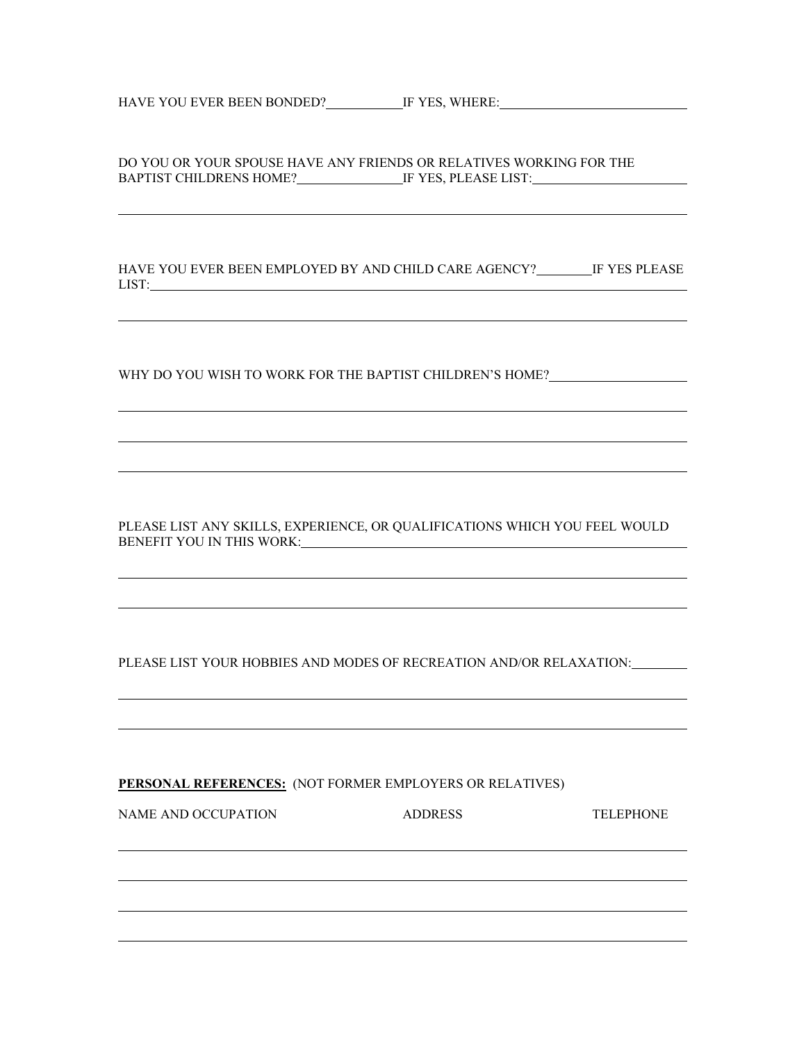HAVE YOU EVER BEEN BONDED? IF YES, WHERE:

DO YOU OR YOUR SPOUSE HAVE ANY FRIENDS OR RELATIVES WORKING FOR THE BAPTIST CHILDRENS HOME? IF YES, PLEASE LIST: IT'S APPEIST CHILDRENS HOME?

HAVE YOU EVER BEEN EMPLOYED BY AND CHILD CARE AGENCY? IF YES PLEASE LIST:

WHY DO YOU WISH TO WORK FOR THE BAPTIST CHILDREN'S HOME?

PLEASE LIST ANY SKILLS, EXPERIENCE, OR QUALIFICATIONS WHICH YOU FEEL WOULD BENEFIT YOU IN THIS WORK:

PLEASE LIST YOUR HOBBIES AND MODES OF RECREATION AND/OR RELAXATION:

**PERSONAL REFERENCES:** (NOT FORMER EMPLOYERS OR RELATIVES)

| NAME AND OCCUPATION | <b>ADDRESS</b> | <b>TELEPHONE</b> |
|---------------------|----------------|------------------|
|                     |                |                  |
|                     |                |                  |
|                     |                |                  |
|                     |                |                  |
|                     |                |                  |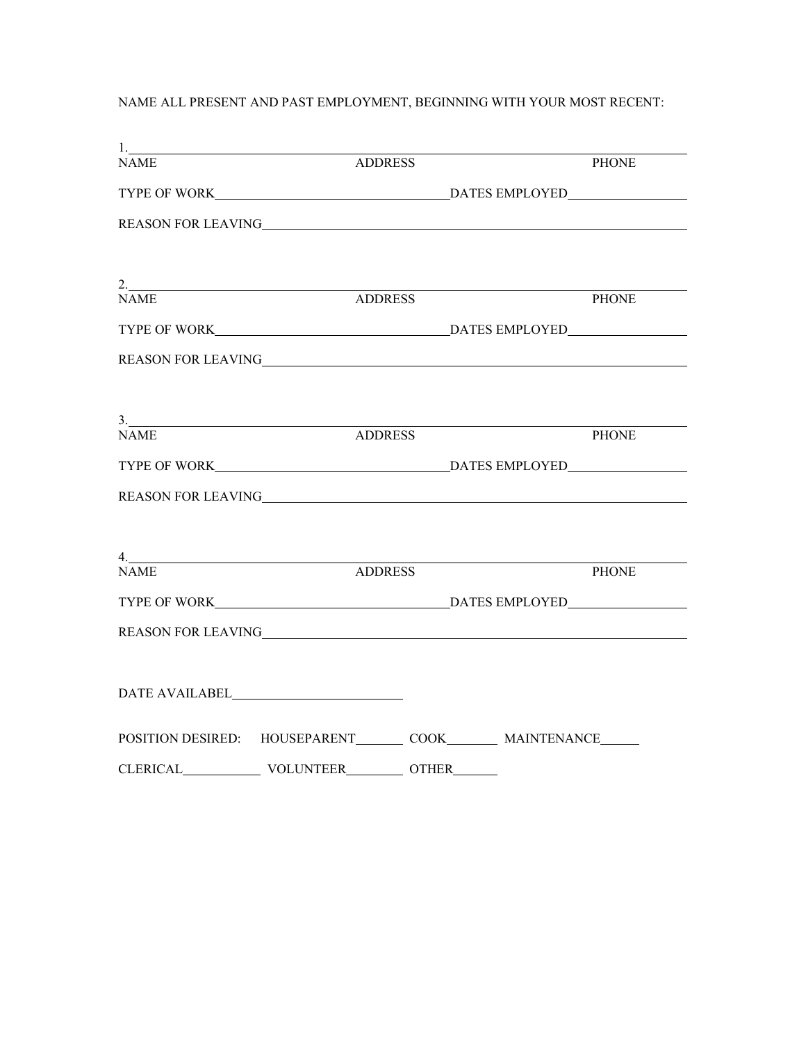## NAME ALL PRESENT AND PAST EMPLOYMENT, BEGINNING WITH YOUR MOST RECENT:

| $\begin{tabular}{ c c c c } \hline \quad \quad & \quad \quad & \quad \quad & \quad \quad \\ \hline \end{tabular}$ |                                                                       |              |
|-------------------------------------------------------------------------------------------------------------------|-----------------------------------------------------------------------|--------------|
| <b>NAME</b>                                                                                                       | <b>ADDRESS</b>                                                        | PHONE        |
|                                                                                                                   |                                                                       |              |
|                                                                                                                   |                                                                       |              |
|                                                                                                                   | $2.$ ADDRESS ADDRESS                                                  |              |
|                                                                                                                   |                                                                       | <b>PHONE</b> |
|                                                                                                                   |                                                                       |              |
|                                                                                                                   |                                                                       |              |
|                                                                                                                   | $\frac{3}{2}$                                                         |              |
| <b>NAME</b>                                                                                                       | <b>ADDRESS</b>                                                        | <b>PHONE</b> |
|                                                                                                                   |                                                                       |              |
|                                                                                                                   |                                                                       |              |
| 4.                                                                                                                |                                                                       |              |
| <b>NAME</b>                                                                                                       | <b>ADDRESS</b>                                                        | <b>PHONE</b> |
|                                                                                                                   |                                                                       |              |
|                                                                                                                   |                                                                       |              |
|                                                                                                                   |                                                                       |              |
|                                                                                                                   | POSITION DESIRED: HOUSEPARENT________ COOK_________ MAINTENANCE______ |              |
|                                                                                                                   | CLERICAL VOLUNTEER OTHER                                              |              |